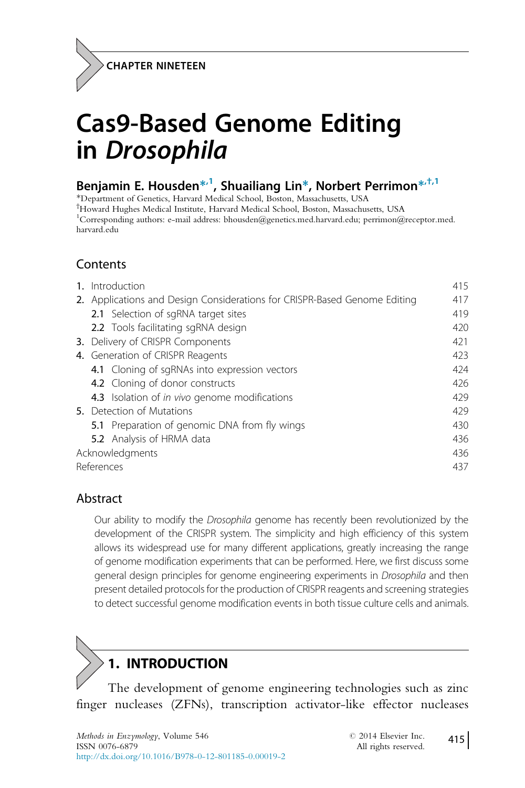

# Cas9-Based Genome Editing in Drosophila

# Benjamin E. Housden\*,<sup>1</sup>, Shuailiang Lin\*, Norbert Perrimon\*,<sup>+,1</sup>

\*Department of Genetics, Harvard Medical School, Boston, Massachusetts, USA † Howard Hughes Medical Institute, Harvard Medical School, Boston, Massachusetts, USA <sup>1</sup>Corresponding authors: e-mail address: bhousden@genetics.med.harvard.edu; perrimon@receptor.med. harvard.edu

# **Contents**

|                 | 1. Introduction                                                           | 415 |
|-----------------|---------------------------------------------------------------------------|-----|
|                 | 2. Applications and Design Considerations for CRISPR-Based Genome Editing | 417 |
|                 | 2.1 Selection of sqRNA target sites                                       | 419 |
|                 | 2.2 Tools facilitating sgRNA design                                       | 420 |
|                 | 3. Delivery of CRISPR Components                                          | 421 |
|                 | 4. Generation of CRISPR Reagents                                          | 423 |
|                 | 4.1 Cloning of sqRNAs into expression vectors                             | 424 |
|                 | 4.2 Cloning of donor constructs                                           | 426 |
|                 | 4.3 Isolation of in vivo genome modifications                             | 429 |
|                 | 5. Detection of Mutations                                                 | 429 |
|                 | <b>5.1</b> Preparation of genomic DNA from fly wings                      | 430 |
|                 | 5.2 Analysis of HRMA data                                                 | 436 |
| Acknowledgments |                                                                           |     |
|                 | References                                                                | 437 |
|                 |                                                                           |     |

## **Abstract**

Our ability to modify the Drosophila genome has recently been revolutionized by the development of the CRISPR system. The simplicity and high efficiency of this system allows its widespread use for many different applications, greatly increasing the range of genome modification experiments that can be performed. Here, we first discuss some general design principles for genome engineering experiments in Drosophila and then present detailed protocols for the production of CRISPR reagents and screening strategies to detect successful genome modification events in both tissue culture cells and animals.

# 1. INTRODUCTION

The development of genome engineering technologies such as zinc finger nucleases (ZFNs), transcription activator-like effector nucleases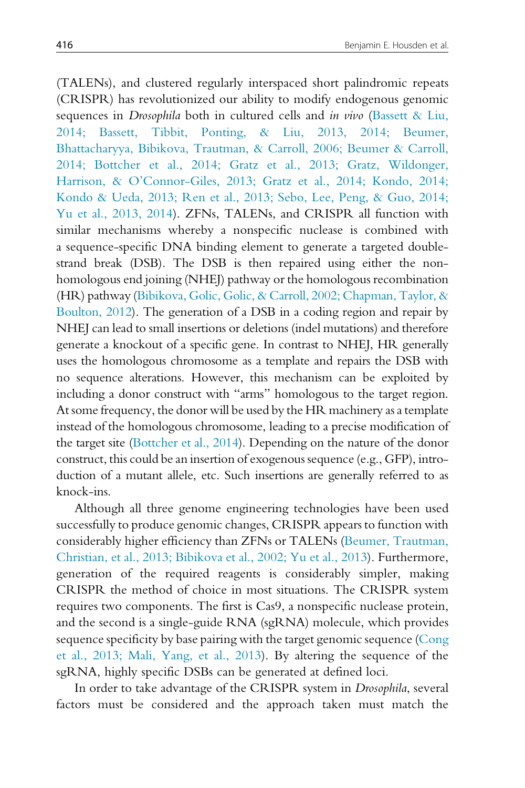(TALENs), and clustered regularly interspaced short palindromic repeats (CRISPR) has revolutionized our ability to modify endogenous genomic sequences in *Drosophila* both in cultured cells and in vivo [\(Bassett & Liu,](#page-22-0) [2014; Bassett, Tibbit, Ponting, & Liu, 2013, 2014; Beumer,](#page-22-0) [Bhattacharyya, Bibikova, Trautman, & Carroll, 2006; Beumer & Carroll,](#page-22-0) [2014; Bottcher et al., 2014; Gratz et al., 2013; Gratz, Wildonger,](#page-22-0) [Harrison, & O'Connor-Giles, 2013; Gratz et al., 2014; Kondo, 2014;](#page-22-0) [Kondo & Ueda, 2013; Ren et al., 2013; Sebo, Lee, Peng, & Guo, 2014;](#page-22-0) [Yu et al., 2013, 2014](#page-22-0)). ZFNs, TALENs, and CRISPR all function with similar mechanisms whereby a nonspecific nuclease is combined with a sequence-specific DNA binding element to generate a targeted doublestrand break (DSB). The DSB is then repaired using either the nonhomologous end joining (NHEJ) pathway or the homologous recombination (HR) pathway ([Bibikova, Golic, Golic, & Carroll, 2002; Chapman, Taylor, &](#page-22-0) [Boulton, 2012](#page-22-0)). The generation of a DSB in a coding region and repair by NHEJ can lead to small insertions or deletions (indel mutations) and therefore generate a knockout of a specific gene. In contrast to NHEJ, HR generally uses the homologous chromosome as a template and repairs the DSB with no sequence alterations. However, this mechanism can be exploited by including a donor construct with "arms" homologous to the target region. At some frequency, the donor will be used by the HR machinery as a template instead of the homologous chromosome, leading to a precise modification of the target site [\(Bottcher et al., 2014](#page-22-0)). Depending on the nature of the donor construct, this could be an insertion of exogenous sequence (e.g., GFP), introduction of a mutant allele, etc. Such insertions are generally referred to as knock-ins.

Although all three genome engineering technologies have been used successfully to produce genomic changes, CRISPR appears to function with considerably higher efficiency than ZFNs or TALENs [\(Beumer, Trautman,](#page-22-0) [Christian, et al., 2013; Bibikova et al., 2002; Yu et al., 2013](#page-22-0)). Furthermore, generation of the required reagents is considerably simpler, making CRISPR the method of choice in most situations. The CRISPR system requires two components. The first is Cas9, a nonspecific nuclease protein, and the second is a single-guide RNA (sgRNA) molecule, which provides sequence specificity by base pairing with the target genomic sequence ([Cong](#page-22-0) [et al., 2013; Mali, Yang, et al., 2013\)](#page-22-0). By altering the sequence of the sgRNA, highly specific DSBs can be generated at defined loci.

In order to take advantage of the CRISPR system in Drosophila, several factors must be considered and the approach taken must match the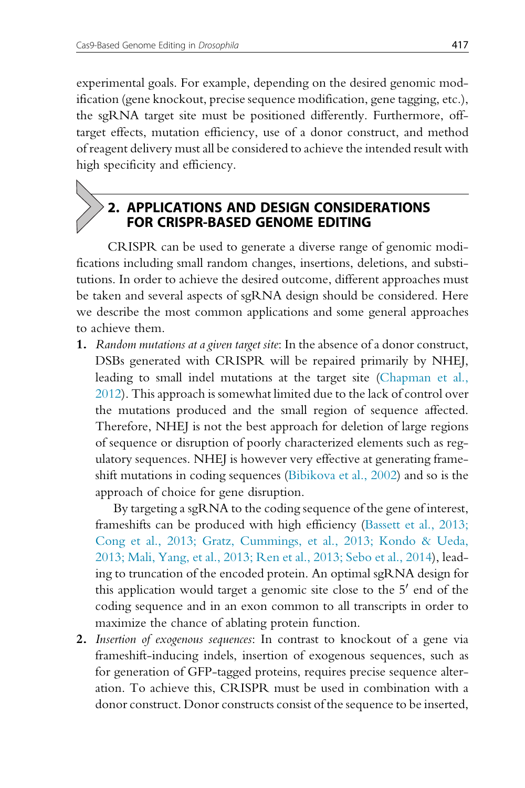experimental goals. For example, depending on the desired genomic modification (gene knockout, precise sequence modification, gene tagging, etc.), the sgRNA target site must be positioned differently. Furthermore, offtarget effects, mutation efficiency, use of a donor construct, and method of reagent delivery must all be considered to achieve the intended result with high specificity and efficiency.

# 2. APPLICATIONS AND DESIGN CONSIDERATIONS FOR CRISPR-BASED GENOME EDITING

CRISPR can be used to generate a diverse range of genomic modifications including small random changes, insertions, deletions, and substitutions. In order to achieve the desired outcome, different approaches must be taken and several aspects of sgRNA design should be considered. Here we describe the most common applications and some general approaches to achieve them.

**1.** Random mutations at a given target site: In the absence of a donor construct, DSBs generated with CRISPR will be repaired primarily by NHEJ, leading to small indel mutations at the target site ([Chapman et al.,](#page-22-0) [2012\)](#page-22-0). This approach is somewhat limited due to the lack of control over the mutations produced and the small region of sequence affected. Therefore, NHEJ is not the best approach for deletion of large regions of sequence or disruption of poorly characterized elements such as regulatory sequences. NHEJ is however very effective at generating frameshift mutations in coding sequences [\(Bibikova et al., 2002\)](#page-22-0) and so is the approach of choice for gene disruption.

By targeting a sgRNA to the coding sequence of the gene of interest, frameshifts can be produced with high efficiency [\(Bassett et al., 2013;](#page-22-0) [Cong et al., 2013; Gratz, Cummings, et al., 2013; Kondo & Ueda,](#page-22-0) [2013; Mali, Yang, et al., 2013; Ren et al., 2013; Sebo et al., 2014](#page-22-0)), leading to truncation of the encoded protein. An optimal sgRNA design for this application would target a genomic site close to the  $5'$  end of the coding sequence and in an exon common to all transcripts in order to maximize the chance of ablating protein function.

2. Insertion of exogenous sequences: In contrast to knockout of a gene via frameshift-inducing indels, insertion of exogenous sequences, such as for generation of GFP-tagged proteins, requires precise sequence alteration. To achieve this, CRISPR must be used in combination with a donor construct. Donor constructs consist of the sequence to be inserted,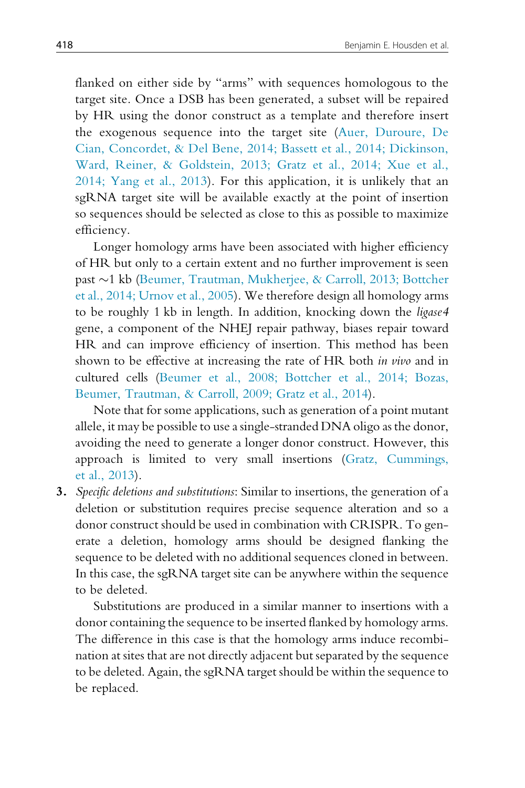flanked on either side by "arms" with sequences homologous to the target site. Once a DSB has been generated, a subset will be repaired by HR using the donor construct as a template and therefore insert the exogenous sequence into the target site [\(Auer, Duroure, De](#page-22-0) [Cian, Concordet, & Del Bene, 2014; Bassett et al., 2014; Dickinson,](#page-22-0) [Ward, Reiner, & Goldstein, 2013; Gratz et al., 2014; Xue et al.,](#page-22-0) [2014; Yang et al., 2013\)](#page-22-0). For this application, it is unlikely that an sgRNA target site will be available exactly at the point of insertion so sequences should be selected as close to this as possible to maximize efficiency.

Longer homology arms have been associated with higher efficiency of HR but only to a certain extent and no further improvement is seen past -1 kb ([Beumer, Trautman, Mukherjee, & Carroll, 2013; Bottcher](#page-22-0) [et al., 2014; Urnov et al., 2005](#page-22-0)). We therefore design all homology arms to be roughly 1 kb in length. In addition, knocking down the ligase4 gene, a component of the NHEJ repair pathway, biases repair toward HR and can improve efficiency of insertion. This method has been shown to be effective at increasing the rate of HR both in vivo and in cultured cells [\(Beumer et al., 2008; Bottcher et al., 2014; Bozas,](#page-22-0) [Beumer, Trautman, & Carroll, 2009; Gratz et al., 2014\)](#page-22-0).

Note that for some applications, such as generation of a point mutant allele, it may be possible to use a single-stranded DNA oligo as the donor, avoiding the need to generate a longer donor construct. However, this approach is limited to very small insertions [\(Gratz, Cummings,](#page-23-0) [et al., 2013\)](#page-23-0).

**3.** Specific deletions and substitutions: Similar to insertions, the generation of a deletion or substitution requires precise sequence alteration and so a donor construct should be used in combination with CRISPR. To generate a deletion, homology arms should be designed flanking the sequence to be deleted with no additional sequences cloned in between. In this case, the sgRNA target site can be anywhere within the sequence to be deleted.

Substitutions are produced in a similar manner to insertions with a donor containing the sequence to be inserted flanked by homology arms. The difference in this case is that the homology arms induce recombination at sites that are not directly adjacent but separated by the sequence to be deleted. Again, the sgRNA target should be within the sequence to be replaced.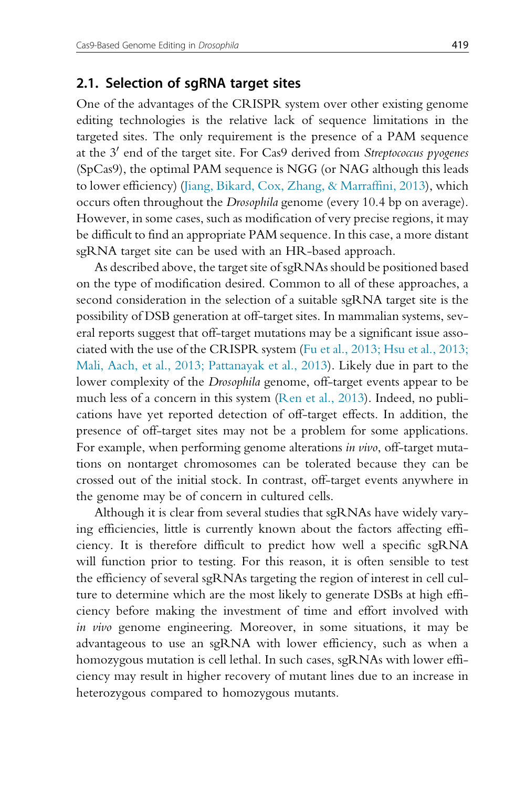#### 2.1. Selection of sgRNA target sites

One of the advantages of the CRISPR system over other existing genome editing technologies is the relative lack of sequence limitations in the targeted sites. The only requirement is the presence of a PAM sequence at the  $3'$  end of the target site. For Cas9 derived from Streptococcus pyogenes (SpCas9), the optimal PAM sequence is NGG (or NAG although this leads to lower efficiency) ([Jiang, Bikard, Cox, Zhang, & Marraffini, 2013](#page-23-0)), which occurs often throughout the Drosophila genome (every 10.4 bp on average). However, in some cases, such as modification of very precise regions, it may be difficult to find an appropriate PAM sequence. In this case, a more distant sgRNA target site can be used with an HR-based approach.

As described above, the target site of sgRNAs should be positioned based on the type of modification desired. Common to all of these approaches, a second consideration in the selection of a suitable sgRNA target site is the possibility of DSB generation at off-target sites. In mammalian systems, several reports suggest that off-target mutations may be a significant issue associated with the use of the CRISPR system ([Fu et al., 2013; Hsu et al., 2013;](#page-23-0) [Mali, Aach, et al., 2013; Pattanayak et al., 2013](#page-23-0)). Likely due in part to the lower complexity of the Drosophila genome, off-target events appear to be much less of a concern in this system [\(Ren et al., 2013\)](#page-24-0). Indeed, no publications have yet reported detection of off-target effects. In addition, the presence of off-target sites may not be a problem for some applications. For example, when performing genome alterations in vivo, off-target mutations on nontarget chromosomes can be tolerated because they can be crossed out of the initial stock. In contrast, off-target events anywhere in the genome may be of concern in cultured cells.

Although it is clear from several studies that sgRNAs have widely varying efficiencies, little is currently known about the factors affecting efficiency. It is therefore difficult to predict how well a specific sgRNA will function prior to testing. For this reason, it is often sensible to test the efficiency of several sgRNAs targeting the region of interest in cell culture to determine which are the most likely to generate DSBs at high efficiency before making the investment of time and effort involved with in vivo genome engineering. Moreover, in some situations, it may be advantageous to use an sgRNA with lower efficiency, such as when a homozygous mutation is cell lethal. In such cases, sgRNAs with lower efficiency may result in higher recovery of mutant lines due to an increase in heterozygous compared to homozygous mutants.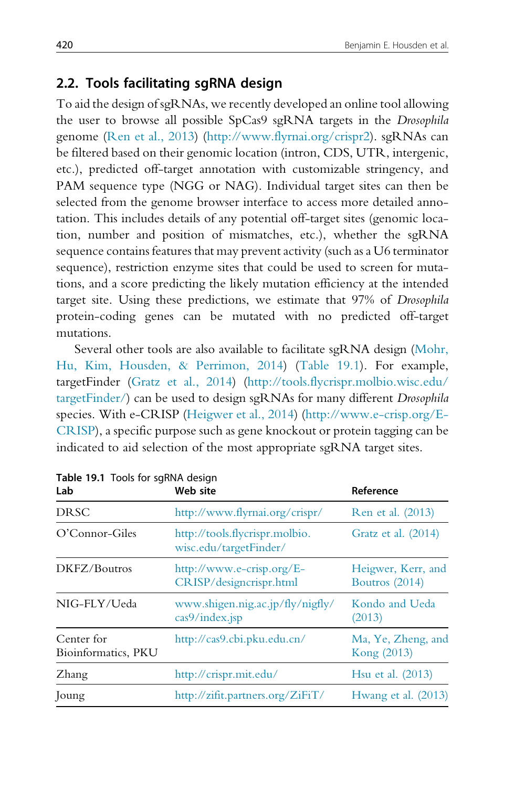## 2.2. Tools facilitating sgRNA design

To aid the design of sgRNAs, we recently developed an online tool allowing the user to browse all possible SpCas9 sgRNA targets in the Drosophila genome ([Ren et al., 2013\)](#page-24-0) [\(http://www.flyrnai.org/crispr2](http://www.flyrnai.org/crispr2)). sgRNAs can be filtered based on their genomic location (intron, CDS, UTR, intergenic, etc.), predicted off-target annotation with customizable stringency, and PAM sequence type (NGG or NAG). Individual target sites can then be selected from the genome browser interface to access more detailed annotation. This includes details of any potential off-target sites (genomic location, number and position of mismatches, etc.), whether the sgRNA sequence contains features that may prevent activity (such as a U6 terminator sequence), restriction enzyme sites that could be used to screen for mutations, and a score predicting the likely mutation efficiency at the intended target site. Using these predictions, we estimate that 97% of Drosophila protein-coding genes can be mutated with no predicted off-target mutations.

Several other tools are also available to facilitate sgRNA design [\(Mohr,](#page-23-0) [Hu, Kim, Housden, & Perrimon, 2014](#page-23-0)) (Table 19.1). For example, targetFinder ([Gratz et al., 2014](#page-23-0)) ([http://tools.flycrispr.molbio.wisc.edu/](http://tools.flycrispr.molbio.wisc.edu/targetFinder/) [targetFinder/\)](http://tools.flycrispr.molbio.wisc.edu/targetFinder/) can be used to design sgRNAs for many different Drosophila species. With e-CRISP ([Heigwer et al., 2014\)](#page-23-0) [\(http://www.e-crisp.org/E-](http://www.e-crisp.org/E-CRISP)[CRISP](http://www.e-crisp.org/E-CRISP)), a specific purpose such as gene knockout or protein tagging can be indicated to aid selection of the most appropriate sgRNA target sites.

| Lab                               | Web site                                                                  | Reference                              |
|-----------------------------------|---------------------------------------------------------------------------|----------------------------------------|
| <b>DRSC</b>                       | http://www.flyrnai.org/crispr/                                            | Ren et al. (2013)                      |
| O'Connor-Giles                    | http://tools.flycrispr.molbio.<br>wisc.edu/targetFinder/                  | Gratz et al. (2014)                    |
| DKFZ/Boutros                      | http://www.e-crisp.org/E-<br>CRISP/designcrispr.html                      | Heigwer, Kerr, and<br>Boutros $(2014)$ |
| NIG-FLY/Ueda                      | www.shigen.nig.ac.jp/fly/nigfly/<br>$\cos\frac{9}{\text{index}}$ . $\sin$ | Kondo and Ueda<br>(2013)               |
| Center for<br>Bioinformatics, PKU | http://cas9.cbi.pku.edu.cn/                                               | Ma, Ye, Zheng, and<br>Kong (2013)      |
| Zhang                             | http://crispr.mit.edu/                                                    | Hsu et al. (2013)                      |
| Joung                             | http://zifit.partners.org/ $ZiFiT/$                                       | Hwang et al. $(2013)$                  |

Table 19.1 Tools for saRNA design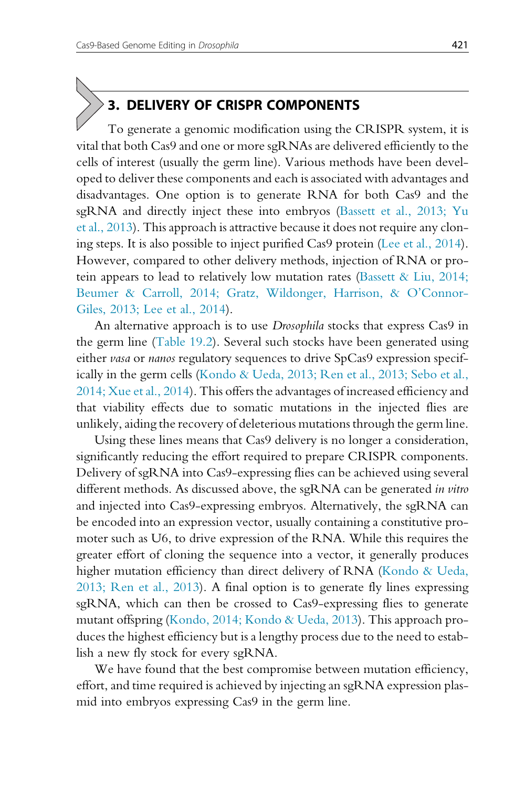# 3. DELIVERY OF CRISPR COMPONENTS

To generate a genomic modification using the CRISPR system, it is vital that both Cas9 and one or more sgRNAs are delivered efficiently to the cells of interest (usually the germ line). Various methods have been developed to deliver these components and each is associated with advantages and disadvantages. One option is to generate RNA for both Cas9 and the sgRNA and directly inject these into embryos ([Bassett et al., 2013; Yu](#page-22-0) [et al., 2013](#page-22-0)). This approach is attractive because it does not require any cloning steps. It is also possible to inject purified Cas9 protein ([Lee et al., 2014](#page-23-0)). However, compared to other delivery methods, injection of RNA or protein appears to lead to relatively low mutation rates ([Bassett & Liu, 2014;](#page-22-0) [Beumer & Carroll, 2014; Gratz, Wildonger, Harrison, & O'Connor-](#page-22-0)[Giles, 2013; Lee et al., 2014\)](#page-22-0).

An alternative approach is to use *Drosophila* stocks that express Cas9 in the germ line ([Table 19.2\)](#page-7-0). Several such stocks have been generated using either *vasa* or *nanos* regulatory sequences to drive SpCas9 expression specifically in the germ cells [\(Kondo & Ueda, 2013; Ren et al., 2013; Sebo et al.,](#page-23-0) [2014; Xue et al., 2014\)](#page-23-0). This offers the advantages of increased efficiency and that viability effects due to somatic mutations in the injected flies are unlikely, aiding the recovery of deleterious mutations through the germ line.

Using these lines means that Cas9 delivery is no longer a consideration, significantly reducing the effort required to prepare CRISPR components. Delivery of sgRNA into Cas9-expressing flies can be achieved using several different methods. As discussed above, the sgRNA can be generated in vitro and injected into Cas9-expressing embryos. Alternatively, the sgRNA can be encoded into an expression vector, usually containing a constitutive promoter such as U6, to drive expression of the RNA. While this requires the greater effort of cloning the sequence into a vector, it generally produces higher mutation efficiency than direct delivery of RNA [\(Kondo & Ueda,](#page-23-0) [2013; Ren et al., 2013](#page-23-0)). A final option is to generate fly lines expressing sgRNA, which can then be crossed to Cas9-expressing flies to generate mutant offspring [\(Kondo, 2014; Kondo & Ueda, 2013](#page-23-0)). This approach produces the highest efficiency but is a lengthy process due to the need to establish a new fly stock for every sgRNA.

We have found that the best compromise between mutation efficiency, effort, and time required is achieved by injecting an sgRNA expression plasmid into embryos expressing Cas9 in the germ line.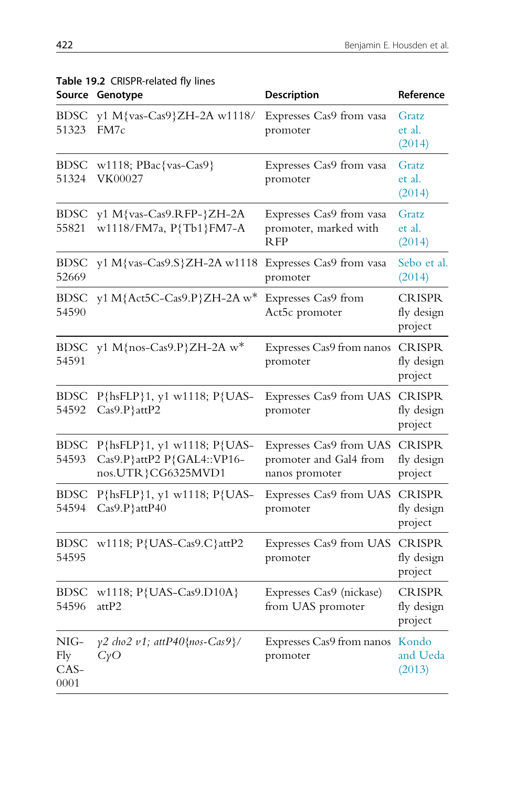| Source                      | Genotype                                                                        | Description                                                                | Reference                              |
|-----------------------------|---------------------------------------------------------------------------------|----------------------------------------------------------------------------|----------------------------------------|
| <b>BDSC</b><br>51323        | y1 M{vas-Cas9}ZH-2A w1118/<br>FM7c                                              | Expresses Cas9 from vasa<br>promoter                                       | Gratz<br>et al.<br>(2014)              |
| <b>BDSC</b><br>51324        | w1118; PBac{vas-Cas9}<br>VK00027                                                | Expresses Cas9 from vasa<br>promoter                                       | Gratz<br>et al.<br>(2014)              |
| <b>BDSC</b><br>55821        | y1 M{vas-Cas9.RFP-}ZH-2A<br>w1118/FM7a, P{Tb1}FM7-A                             | Expresses Cas9 from vasa<br>promoter, marked with<br><b>RFP</b>            | Gratz<br>et al.<br>(2014)              |
| <b>BDSC</b><br>52669        | y1 M{vas-Cas9.S}ZH-2A w1118                                                     | Expresses Cas9 from vasa<br>promoter                                       | Sebo et al.<br>(2014)                  |
| BDSC<br>54590               | y1 M{Act5C-Cas9.P}ZH-2A w*                                                      | Expresses Cas9 from<br>Act5c promoter                                      | <b>CRISPR</b><br>fly design<br>project |
| <b>BDSC</b><br>54591        | y1 M{nos-Cas9.P}ZH-2A $w^*$                                                     | Expresses Cas9 from nanos CRISPR<br>promoter                               | fly design<br>project                  |
| <b>BDSC</b><br>54592        | P{hsFLP}1, y1 w1118; P{UAS-<br>Cas9.P}attP2                                     | Expresses Cas9 from UAS CRISPR<br>promoter                                 | fly design<br>project                  |
| BDSC<br>54593               | P{hsFLP}1, y1 w1118; P{UAS-<br>Cas9.P}attP2 P{GAL4::VP16-<br>nos.UTR}CG6325MVD1 | Expresses Cas9 from UAS CRISPR<br>promoter and Gal4 from<br>nanos promoter | fly design<br>project                  |
| <b>BDSC</b><br>54594        | P{hsFLP}1, y1 w1118; P{UAS-<br>Cas9.P}attP40                                    | Expresses Cas9 from UAS CRISPR<br>promoter                                 | fly design<br>project                  |
| <b>BDSC</b><br>54595        | w1118; P{UAS-Cas9.C}attP2                                                       | Expresses Cas9 from UAS<br>promoter                                        | <b>CRISPR</b><br>fly design<br>project |
| <b>BDSC</b><br>54596        | w1118; P{UAS-Cas9.D10A}<br>attP2                                                | Expresses Cas9 (nickase)<br>from UAS promoter                              | CRISPR<br>fly design<br>project        |
| NIG-<br>Fly<br>CAS-<br>0001 | $\gamma$ 2 cho2 v1; attP40{nos-Cas9}/<br>CyO                                    | Expresses Cas9 from nanos Kondo<br>promoter                                | and Ueda<br>(2013)                     |

# <span id="page-7-0"></span>Table 19.2 CRISPR-related fly lines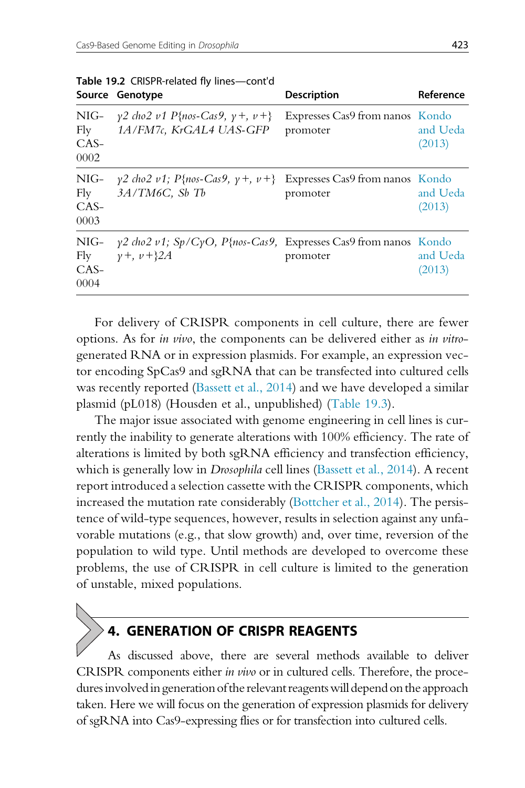|                               | Source Genotype                                                                                                                          | <b>Description</b>                          | Reference          |
|-------------------------------|------------------------------------------------------------------------------------------------------------------------------------------|---------------------------------------------|--------------------|
| NIG-<br>Fly<br>$CAS-$<br>0002 | $\gamma$ 2 cho2 v1 P{nos-Cas9, y +, v +}<br>1A/FM7c, KrGAL4 UAS-GFP                                                                      | Expresses Cas9 from nanos Kondo<br>promoter | and Ueda<br>(2013) |
| $NIG-$<br>Fly<br>CAS-<br>0003 | $\gamma$ 2 cho2 v1; P{nos-Cas9, y+, v+} Expresses Cas9 from nanos Kondo<br>$3A/TM6C$ , Sb Tb                                             | promoter                                    | and Ueda<br>(2013) |
| NIG-<br>CAS-<br>0004          | $\gamma$ 2 cho2 v1; Sp/C $\gamma$ O, P $\{\text{nos-Cas9}, \text{ Expresses Cas9 from nanos Kondo}\}$<br>Fly $y + y + \frac{\nu + }{2A}$ | promoter                                    | and Ueda<br>(2013) |

Table 19.2 CRISPR-related fly lines—cont'd

For delivery of CRISPR components in cell culture, there are fewer options. As for in vivo, the components can be delivered either as in vitrogenerated RNA or in expression plasmids. For example, an expression vector encoding SpCas9 and sgRNA that can be transfected into cultured cells was recently reported [\(Bassett et al., 2014\)](#page-22-0) and we have developed a similar plasmid (pL018) (Housden et al., unpublished) [\(Table 19.3\)](#page-9-0).

The major issue associated with genome engineering in cell lines is currently the inability to generate alterations with 100% efficiency. The rate of alterations is limited by both sgRNA efficiency and transfection efficiency, which is generally low in *Drosophila* cell lines ([Bassett et al., 2014\)](#page-22-0). A recent report introduced a selection cassette with the CRISPR components, which increased the mutation rate considerably [\(Bottcher et al., 2014\)](#page-22-0). The persistence of wild-type sequences, however, results in selection against any unfavorable mutations (e.g., that slow growth) and, over time, reversion of the population to wild type. Until methods are developed to overcome these problems, the use of CRISPR in cell culture is limited to the generation of unstable, mixed populations.

# 4. GENERATION OF CRISPR REAGENTS

As discussed above, there are several methods available to deliver CRISPR components either in vivo or in cultured cells. Therefore, the proceduresinvolvedin generation ofthe relevant reagentswill depend onthe approach taken. Here we will focus on the generation of expression plasmids for delivery of sgRNA into Cas9-expressing flies or for transfection into cultured cells.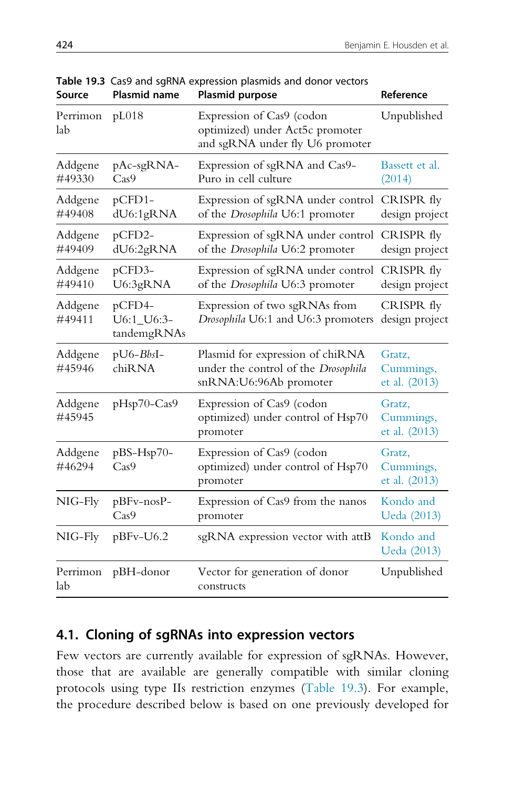| Source            | Plasmid name                        | Plasmid purpose                                                                                   | Reference                            |
|-------------------|-------------------------------------|---------------------------------------------------------------------------------------------------|--------------------------------------|
| Perrimon<br>lab   | pL018                               | Expression of Cas9 (codon<br>optimized) under Act5c promoter<br>and sgRNA under fly U6 promoter   | Unpublished                          |
| Addgene<br>#49330 | pAc-sgRNA-<br>Cas9                  | Expression of sgRNA and Cas9-<br>Puro in cell culture                                             | Bassett et al.<br>(2014)             |
| Addgene<br>#49408 | pCFD1-<br>dU6:1gRNA                 | Expression of sgRNA under control<br>of the Drosophila U6:1 promoter                              | CRISPR fly<br>design project         |
| Addgene<br>#49409 | $pCFD2-$<br>dU6:2gRNA               | Expression of sgRNA under control<br>of the Drosophila U6:2 promoter                              | CRISPR fly<br>design project         |
| Addgene<br>#49410 | pCFD3-<br>U6:3gRNA                  | Expression of sgRNA under control<br>of the Drosophila U6:3 promoter                              | CRISPR fly<br>design project         |
| Addgene<br>#49411 | pCFD4-<br>U6:1_U6:3-<br>tandemgRNAs | Expression of two sgRNAs from<br>Drosophila U6:1 and U6:3 promoters                               | CRISPR fly<br>design project         |
| Addgene<br>#45946 | $pU_6-BbS_6$<br>chiRNA              | Plasmid for expression of chiRNA<br>under the control of the Drosophila<br>snRNA:U6:96Ab promoter | Gratz,<br>Cummings,<br>et al. (2013) |
| Addgene<br>#45945 | pHsp70-Cas9                         | Expression of Cas9 (codon<br>optimized) under control of Hsp70<br>promoter                        | Gratz,<br>Cummings,<br>et al. (2013) |
| Addgene<br>#46294 | pBS-Hsp70-<br>Cas9                  | Expression of Cas9 (codon<br>optimized) under control of Hsp70<br>promoter                        | Gratz,<br>Cummings,<br>et al. (2013) |
| $NIG-Fly$         | pBFv-nosP-<br>Cas9                  | Expression of Cas9 from the nanos<br>promoter                                                     | Kondo and<br>Ueda (2013)             |
| NIG-Fly           | pBFv-U6.2                           | sgRNA expression vector with attB                                                                 | Kondo and<br>Ueda (2013)             |
| Perrimon<br>lab   | pBH-donor                           | Vector for generation of donor<br>constructs                                                      | Unpublished                          |

<span id="page-9-0"></span>Table 19.3 Cas9 and sgRNA expression plasmids and donor vectors

## 4.1. Cloning of sgRNAs into expression vectors

Few vectors are currently available for expression of sgRNAs. However, those that are available are generally compatible with similar cloning protocols using type IIs restriction enzymes (Table 19.3). For example, the procedure described below is based on one previously developed for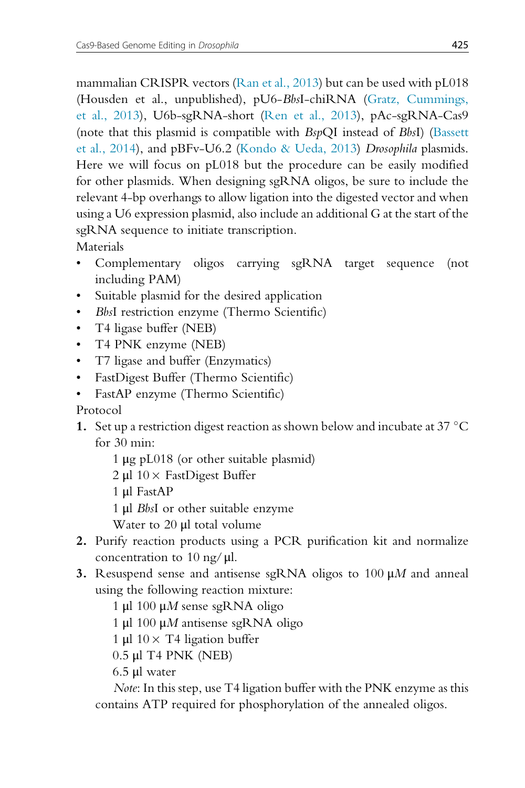mammalian CRISPR vectors [\(Ran et al., 2013](#page-24-0)) but can be used with pL018 (Housden et al., unpublished), pU6-BbsI-chiRNA [\(Gratz, Cummings,](#page-23-0) [et al., 2013\)](#page-23-0), U6b-sgRNA-short [\(Ren et al., 2013\)](#page-24-0), pAc-sgRNA-Cas9 (note that this plasmid is compatible with  $BspQI$  instead of  $BbsI$ ) [\(Bassett](#page-22-0) [et al., 2014\)](#page-22-0), and pBFv-U6.2 [\(Kondo & Ueda, 2013\)](#page-23-0) Drosophila plasmids. Here we will focus on pL018 but the procedure can be easily modified for other plasmids. When designing sgRNA oligos, be sure to include the relevant 4-bp overhangs to allow ligation into the digested vector and when using a U6 expression plasmid, also include an additional G at the start of the sgRNA sequence to initiate transcription.

Materials

- Complementary oligos carrying sgRNA target sequence (not including PAM)
- Suitable plasmid for the desired application
- BbsI restriction enzyme (Thermo Scientific)
- T4 ligase buffer (NEB)
- T4 PNK enzyme (NEB)
- T7 ligase and buffer (Enzymatics)
- FastDigest Buffer (Thermo Scientific)
- FastAP enzyme (Thermo Scientific)

Protocol

- 1. Set up a restriction digest reaction as shown below and incubate at 37  $^{\circ}$ C for 30 min:
	- 1 μg pL018 (or other suitable plasmid)
	- $2 \mu$ l  $10 \times$  FastDigest Buffer
	- 1 μl FastAP
	- 1 μl BbsI or other suitable enzyme
	- Water to 20 μl total volume
- 2. Purify reaction products using a PCR purification kit and normalize concentration to  $10 \text{ ng}/\text{ µl}$ .
- **3.** Resuspend sense and antisense sgRNA oligos to 100  $\mu$ *M* and anneal using the following reaction mixture:

1 μl 100 μM sense sgRNA oligo

1 μl 100 μ*M* antisense sgRNA oligo

1 μl  $10 \times$  T4 ligation buffer

0.5 μl T4 PNK (NEB)

6.5 μl water

Note: In this step, use T4 ligation buffer with the PNK enzyme as this contains ATP required for phosphorylation of the annealed oligos.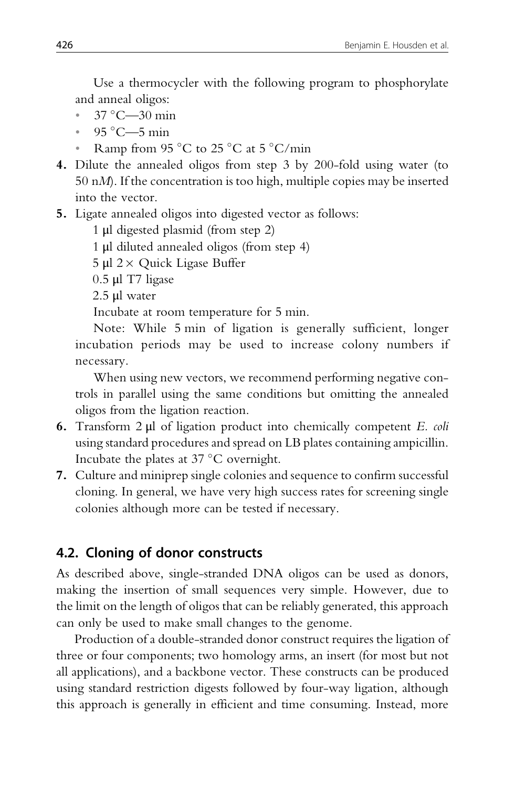Use a thermocycler with the following program to phosphorylate and anneal oligos:

- $37^{\circ}$ C— $30 \text{ min}$
- $95 °C 5$  min
- Ramp from 95 °C to 25 °C at 5 °C/min
- 4. Dilute the annealed oligos from step 3 by 200-fold using water (to 50 nM). If the concentration is too high, multiple copies may be inserted into the vector.
- 5. Ligate annealed oligos into digested vector as follows:

1 μl digested plasmid (from step 2)

1 μl diluted annealed oligos (from step 4)

5 μl  $2 \times$  Quick Ligase Buffer

0.5 μl T7 ligase

2.5 μl water

Incubate at room temperature for 5 min.

Note: While 5 min of ligation is generally sufficient, longer incubation periods may be used to increase colony numbers if necessary.

When using new vectors, we recommend performing negative controls in parallel using the same conditions but omitting the annealed oligos from the ligation reaction.

- 6. Transform 2 μl of ligation product into chemically competent E. coli using standard procedures and spread on LB plates containing ampicillin. Incubate the plates at  $37^{\circ}$ C overnight.
- 7. Culture and miniprep single colonies and sequence to confirm successful cloning. In general, we have very high success rates for screening single colonies although more can be tested if necessary.

## 4.2. Cloning of donor constructs

As described above, single-stranded DNA oligos can be used as donors, making the insertion of small sequences very simple. However, due to the limit on the length of oligos that can be reliably generated, this approach can only be used to make small changes to the genome.

Production of a double-stranded donor construct requires the ligation of three or four components; two homology arms, an insert (for most but not all applications), and a backbone vector. These constructs can be produced using standard restriction digests followed by four-way ligation, although this approach is generally in efficient and time consuming. Instead, more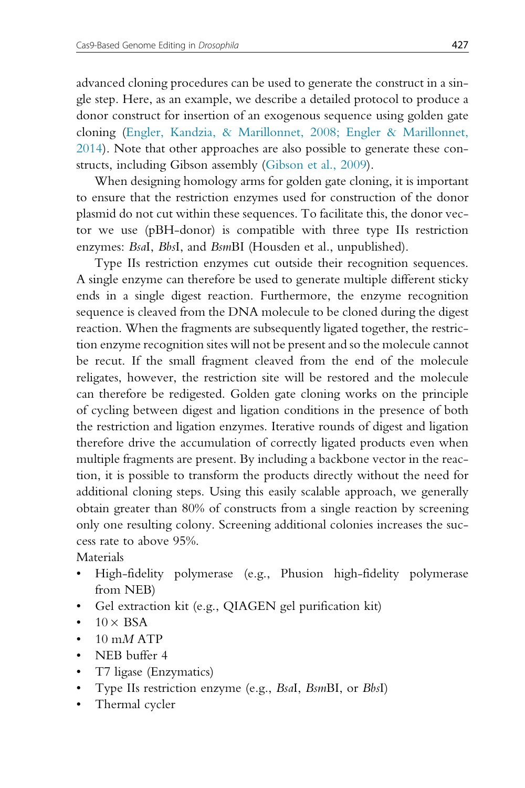advanced cloning procedures can be used to generate the construct in a single step. Here, as an example, we describe a detailed protocol to produce a donor construct for insertion of an exogenous sequence using golden gate cloning ([Engler, Kandzia, & Marillonnet, 2008; Engler & Marillonnet,](#page-22-0) [2014](#page-22-0)). Note that other approaches are also possible to generate these constructs, including Gibson assembly ([Gibson et al., 2009\)](#page-23-0).

When designing homology arms for golden gate cloning, it is important to ensure that the restriction enzymes used for construction of the donor plasmid do not cut within these sequences. To facilitate this, the donor vector we use (pBH-donor) is compatible with three type IIs restriction enzymes: BsaI, BbsI, and BsmBI (Housden et al., unpublished).

Type IIs restriction enzymes cut outside their recognition sequences. A single enzyme can therefore be used to generate multiple different sticky ends in a single digest reaction. Furthermore, the enzyme recognition sequence is cleaved from the DNA molecule to be cloned during the digest reaction. When the fragments are subsequently ligated together, the restriction enzyme recognition sites will not be present and so the molecule cannot be recut. If the small fragment cleaved from the end of the molecule religates, however, the restriction site will be restored and the molecule can therefore be redigested. Golden gate cloning works on the principle of cycling between digest and ligation conditions in the presence of both the restriction and ligation enzymes. Iterative rounds of digest and ligation therefore drive the accumulation of correctly ligated products even when multiple fragments are present. By including a backbone vector in the reaction, it is possible to transform the products directly without the need for additional cloning steps. Using this easily scalable approach, we generally obtain greater than 80% of constructs from a single reaction by screening only one resulting colony. Screening additional colonies increases the success rate to above 95%.

Materials

- High-fidelity polymerase (e.g., Phusion high-fidelity polymerase from NEB)
- Gel extraction kit (e.g., QIAGEN gel purification kit)
- $10 \times \text{BSA}$ <br>•  $10 \text{ mM A'}$
- $10 \text{ m}$ M ATP
- NEB buffer 4
- T7 ligase (Enzymatics)
- Type IIs restriction enzyme (e.g., BsaI, BsmBI, or BbsI)
- Thermal cycler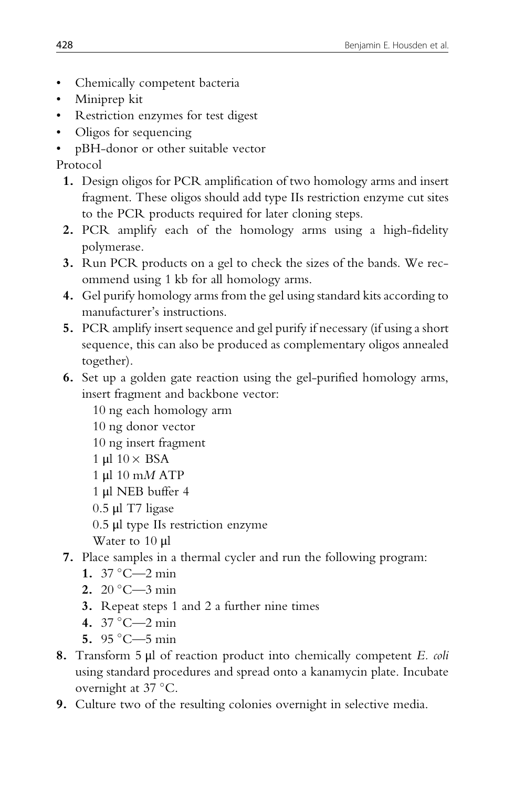- Chemically competent bacteria
- Miniprep kit
- Restriction enzymes for test digest
- Oligos for sequencing
- pBH-donor or other suitable vector

Protocol

- 1. Design oligos for PCR amplification of two homology arms and insert fragment. These oligos should add type IIs restriction enzyme cut sites to the PCR products required for later cloning steps.
- 2. PCR amplify each of the homology arms using a high-fidelity polymerase.
- 3. Run PCR products on a gel to check the sizes of the bands. We recommend using 1 kb for all homology arms.
- 4. Gel purify homology arms from the gel using standard kits according to manufacturer's instructions.
- 5. PCR amplify insert sequence and gel purify if necessary (if using a short sequence, this can also be produced as complementary oligos annealed together).
- 6. Set up a golden gate reaction using the gel-purified homology arms, insert fragment and backbone vector:

10 ng each homology arm

- 10 ng donor vector
- 10 ng insert fragment
- 1 μl  $10 \times BSA$
- 1 μl 10 mM ATP
- 1 μl NEB buffer 4
- 0.5 μl T7 ligase
- 0.5 μl type IIs restriction enzyme
- Water to 10 μl
- 7. Place samples in a thermal cycler and run the following program:
	- 1.  $37^{\circ}$ C—2 min
	- 2. 20 $\degree$ C—3 min
	- 3. Repeat steps 1 and 2 a further nine times
	- 4.  $37^{\circ}$ C—2 min
	- 5.  $95^{\circ}$ C—5 min
- 8. Transform 5 μl of reaction product into chemically competent E. coli using standard procedures and spread onto a kanamycin plate. Incubate overnight at  $37 \degree$ C.
- 9. Culture two of the resulting colonies overnight in selective media.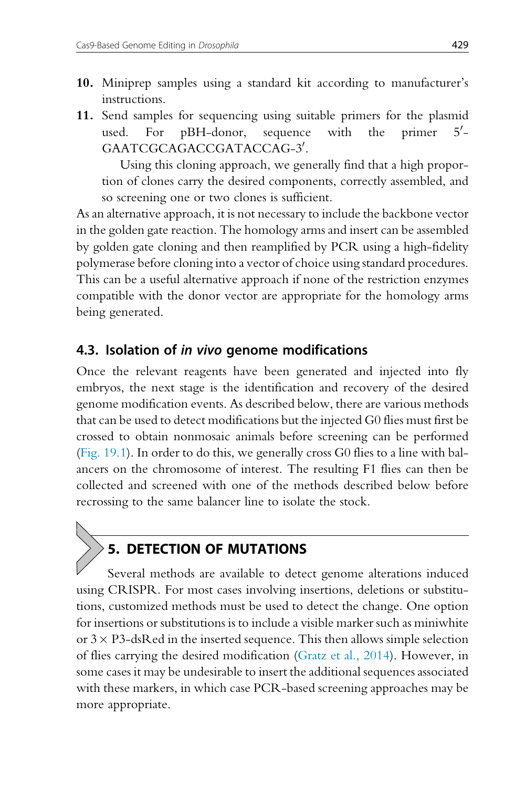- 10. Miniprep samples using a standard kit according to manufacturer's instructions.
- 11. Send samples for sequencing using suitable primers for the plasmid used. For pBH-donor, sequence with the primer  $5^{\prime}$ GAATCGCAGACCGATACCAG-3'.

Using this cloning approach, we generally find that a high proportion of clones carry the desired components, correctly assembled, and so screening one or two clones is sufficient.

As an alternative approach, it is not necessary to include the backbone vector in the golden gate reaction. The homology arms and insert can be assembled by golden gate cloning and then reamplified by PCR using a high-fidelity polymerase before cloning into a vector of choice using standard procedures. This can be a useful alternative approach if none of the restriction enzymes compatible with the donor vector are appropriate for the homology arms being generated.

## 4.3. Isolation of in vivo genome modifications

Once the relevant reagents have been generated and injected into fly embryos, the next stage is the identification and recovery of the desired genome modification events. As described below, there are various methods that can be used to detect modifications but the injected G0 flies must first be crossed to obtain nonmosaic animals before screening can be performed [\(Fig. 19.1](#page-15-0)). In order to do this, we generally cross G0 flies to a line with balancers on the chromosome of interest. The resulting F1 flies can then be collected and screened with one of the methods described below before recrossing to the same balancer line to isolate the stock.

# 5. DETECTION OF MUTATIONS

Several methods are available to detect genome alterations induced using CRISPR. For most cases involving insertions, deletions or substitutions, customized methods must be used to detect the change. One option for insertions or substitutions is to include a visible marker such as miniwhite or  $3 \times P3$ -dsRed in the inserted sequence. This then allows simple selection of flies carrying the desired modification ([Gratz et al., 2014\)](#page-23-0). However, in some cases it may be undesirable to insert the additional sequences associated with these markers, in which case PCR-based screening approaches may be more appropriate.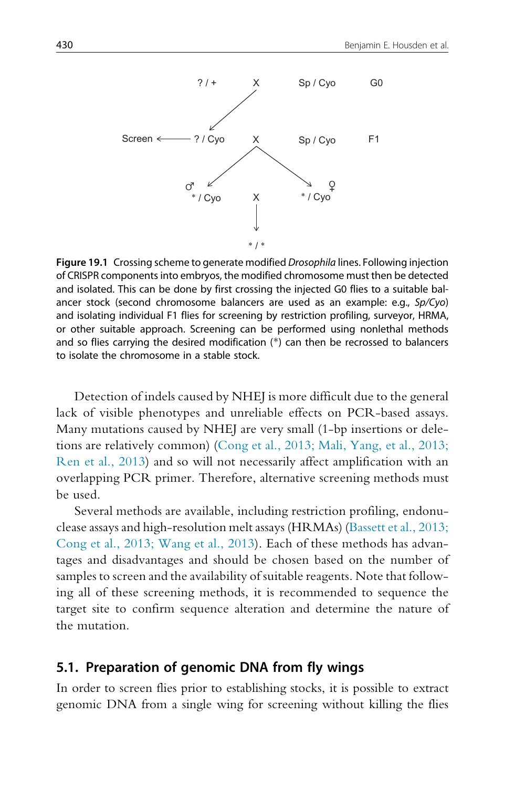<span id="page-15-0"></span>

Figure 19.1 Crossing scheme to generate modified Drosophila lines. Following injection of CRISPR components into embryos, the modified chromosome must then be detected and isolated. This can be done by first crossing the injected G0 flies to a suitable balancer stock (second chromosome balancers are used as an example: e.g., Sp/Cyo) and isolating individual F1 flies for screening by restriction profiling, surveyor, HRMA, or other suitable approach. Screening can be performed using nonlethal methods and so flies carrying the desired modification (\*) can then be recrossed to balancers to isolate the chromosome in a stable stock.

Detection of indels caused by NHEJ is more difficult due to the general lack of visible phenotypes and unreliable effects on PCR-based assays. Many mutations caused by NHEJ are very small (1-bp insertions or deletions are relatively common) [\(Cong et al., 2013; Mali, Yang, et al., 2013;](#page-22-0) [Ren et al., 2013\)](#page-22-0) and so will not necessarily affect amplification with an overlapping PCR primer. Therefore, alternative screening methods must be used.

Several methods are available, including restriction profiling, endonuclease assays and high-resolution melt assays (HRMAs) [\(Bassett et al., 2013;](#page-22-0) [Cong et al., 2013; Wang et al., 2013](#page-22-0)). Each of these methods has advantages and disadvantages and should be chosen based on the number of samples to screen and the availability of suitable reagents. Note that following all of these screening methods, it is recommended to sequence the target site to confirm sequence alteration and determine the nature of the mutation.

#### 5.1. Preparation of genomic DNA from fly wings

In order to screen flies prior to establishing stocks, it is possible to extract genomic DNA from a single wing for screening without killing the flies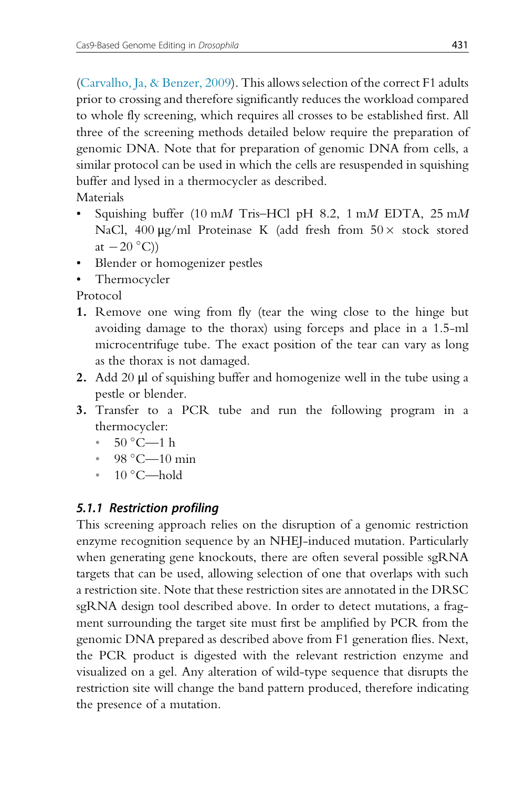[\(Carvalho, Ja, & Benzer, 2009](#page-22-0)). This allows selection of the correct F1 adults prior to crossing and therefore significantly reduces the workload compared to whole fly screening, which requires all crosses to be established first. All three of the screening methods detailed below require the preparation of genomic DNA. Note that for preparation of genomic DNA from cells, a similar protocol can be used in which the cells are resuspended in squishing buffer and lysed in a thermocycler as described.

- Materials
- Squishing buffer (10 mM Tris–HCl pH 8.2, 1 mM EDTA, 25 mM NaCl, 400  $\mu$ g/ml Proteinase K (add fresh from  $50 \times$  stock stored at  $-20$  °C))
- Blender or homogenizer pestles
- Thermocycler
- Protocol
- 1. Remove one wing from fly (tear the wing close to the hinge but avoiding damage to the thorax) using forceps and place in a 1.5-ml microcentrifuge tube. The exact position of the tear can vary as long as the thorax is not damaged.
- 2. Add 20 μl of squishing buffer and homogenize well in the tube using a pestle or blender.
- 3. Transfer to a PCR tube and run the following program in a thermocycler:
	- $50 °C 1 h$
	- $98 °C 10$  min
	- $10^{\circ}$ C—hold

## 5.1.1 Restriction profiling

This screening approach relies on the disruption of a genomic restriction enzyme recognition sequence by an NHEJ-induced mutation. Particularly when generating gene knockouts, there are often several possible sgRNA targets that can be used, allowing selection of one that overlaps with such a restriction site. Note that these restriction sites are annotated in the DRSC sgRNA design tool described above. In order to detect mutations, a fragment surrounding the target site must first be amplified by PCR from the genomic DNA prepared as described above from F1 generation flies. Next, the PCR product is digested with the relevant restriction enzyme and visualized on a gel. Any alteration of wild-type sequence that disrupts the restriction site will change the band pattern produced, therefore indicating the presence of a mutation.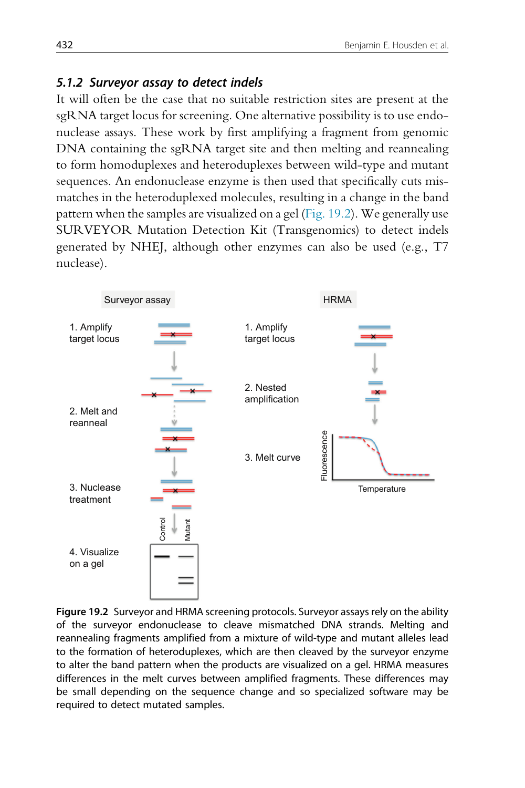#### <span id="page-17-0"></span>5.1.2 Surveyor assay to detect indels

It will often be the case that no suitable restriction sites are present at the sgRNA target locus for screening. One alternative possibility is to use endonuclease assays. These work by first amplifying a fragment from genomic DNA containing the sgRNA target site and then melting and reannealing to form homoduplexes and heteroduplexes between wild-type and mutant sequences. An endonuclease enzyme is then used that specifically cuts mismatches in the heteroduplexed molecules, resulting in a change in the band pattern when the samples are visualized on a gel (Fig. 19.2). We generally use SURVEYOR Mutation Detection Kit (Transgenomics) to detect indels generated by NHEJ, although other enzymes can also be used (e.g., T7 nuclease).



Figure 19.2 Surveyor and HRMA screening protocols. Surveyor assays rely on the ability of the surveyor endonuclease to cleave mismatched DNA strands. Melting and reannealing fragments amplified from a mixture of wild-type and mutant alleles lead to the formation of heteroduplexes, which are then cleaved by the surveyor enzyme to alter the band pattern when the products are visualized on a gel. HRMA measures differences in the melt curves between amplified fragments. These differences may be small depending on the sequence change and so specialized software may be required to detect mutated samples.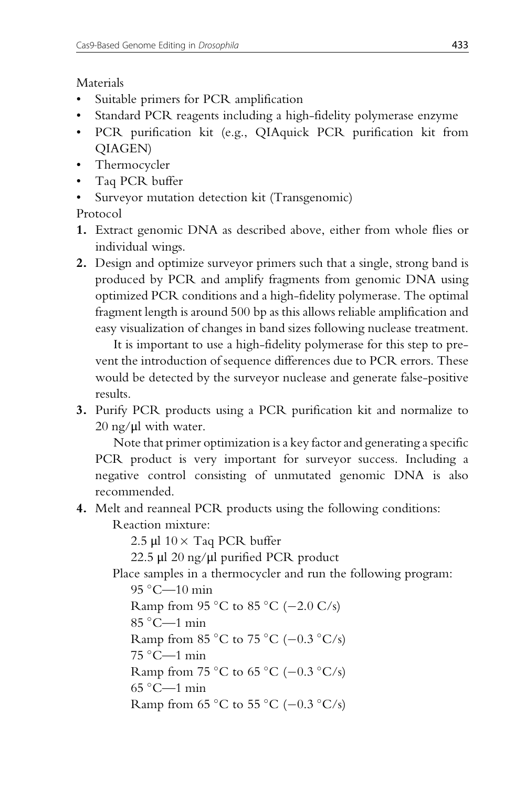Materials

- Suitable primers for PCR amplification
- Standard PCR reagents including a high-fidelity polymerase enzyme
- PCR purification kit (e.g., QIAquick PCR purification kit from QIAGEN)
- Thermocycler
- Taq PCR buffer
- Surveyor mutation detection kit (Transgenomic)

Protocol

- 1. Extract genomic DNA as described above, either from whole flies or individual wings.
- 2. Design and optimize surveyor primers such that a single, strong band is produced by PCR and amplify fragments from genomic DNA using optimized PCR conditions and a high-fidelity polymerase. The optimal fragment length is around 500 bp as this allows reliable amplification and easy visualization of changes in band sizes following nuclease treatment.

It is important to use a high-fidelity polymerase for this step to prevent the introduction of sequence differences due to PCR errors. These would be detected by the surveyor nuclease and generate false-positive results.

3. Purify PCR products using a PCR purification kit and normalize to  $20 \text{ ng}/\mu l$  with water.

Note that primer optimization is a key factor and generating a specific PCR product is very important for surveyor success. Including a negative control consisting of unmutated genomic DNA is also recommended.

4. Melt and reanneal PCR products using the following conditions:

Reaction mixture:

2.5 μl  $10 \times$  Taq PCR buffer

22.5 μl 20 ng/μl purified PCR product

Place samples in a thermocycler and run the following program:

 $95 °C - 10$  min Ramp from 95 °C to 85 °C ( $-2.0$  C/s)

85 C—1 min

Ramp from 85 °C to 75 °C ( $-0.3$  °C/s)

 $75^{\circ}$ C—1 min

Ramp from 75 °C to 65 °C ( $-0.3$  °C/s)

 $65^{\circ}$ C—1 min

Ramp from 65 °C to 55 °C ( $-0.3$  °C/s)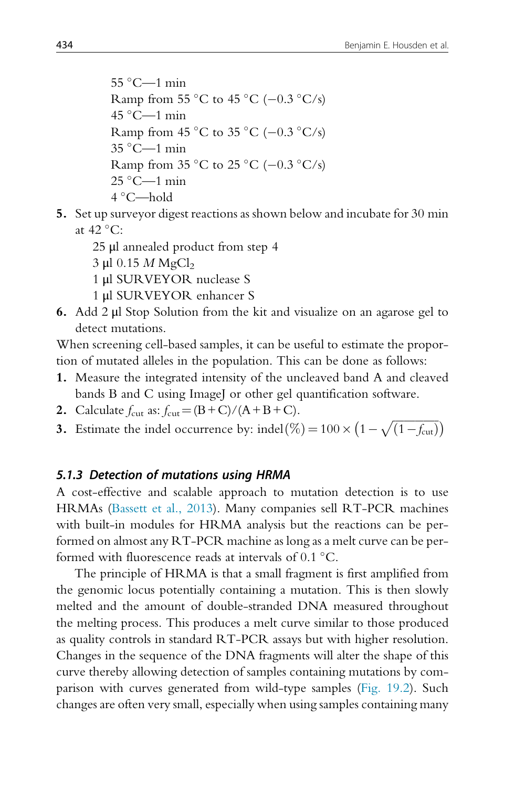$55^{\circ}$ C—1 min Ramp from 55 °C to 45 °C ( $-0.3$  °C/s)  $45^{\circ}$ C—1 min Ramp from 45 °C to 35 °C ( $-0.3$  °C/s)  $35^{\circ}$ C—1 min Ramp from 35 °C to 25 °C ( $-0.3$  °C/s)  $25\text{ °C}$ —1 min 4 °C—hold

- 5. Set up surveyor digest reactions as shown below and incubate for 30 min at  $42^{\circ}$ C:
	- 25 μl annealed product from step 4
	- 3 μl 0.15  $M$  MgCl<sub>2</sub>
	- 1 μl SURVEYOR nuclease S
	- 1 μl SURVEYOR enhancer S
- 6. Add 2 μl Stop Solution from the kit and visualize on an agarose gel to detect mutations.

When screening cell-based samples, it can be useful to estimate the proportion of mutated alleles in the population. This can be done as follows:

- 1. Measure the integrated intensity of the uncleaved band A and cleaved bands B and C using ImageJ or other gel quantification software.
- 2. Calculate  $f_{\text{cut}}$  as:  $f_{\text{cut}} = \frac{B+C}{A+B+C}$ .
- **3.** Estimate the indel occurrence by: indel(%) =  $100 \times (1 \sqrt{(1 f_{\text{cut}})})$

#### 5.1.3 Detection of mutations using HRMA

A cost-effective and scalable approach to mutation detection is to use HRMAs ([Bassett et al., 2013](#page-22-0)). Many companies sell RT-PCR machines with built-in modules for HRMA analysis but the reactions can be performed on almost any RT-PCR machine as long as a melt curve can be performed with fluorescence reads at intervals of  $0.1 \degree C$ .

The principle of HRMA is that a small fragment is first amplified from the genomic locus potentially containing a mutation. This is then slowly melted and the amount of double-stranded DNA measured throughout the melting process. This produces a melt curve similar to those produced as quality controls in standard RT-PCR assays but with higher resolution. Changes in the sequence of the DNA fragments will alter the shape of this curve thereby allowing detection of samples containing mutations by comparison with curves generated from wild-type samples ([Fig. 19.2\)](#page-17-0). Such changes are often very small, especially when using samples containing many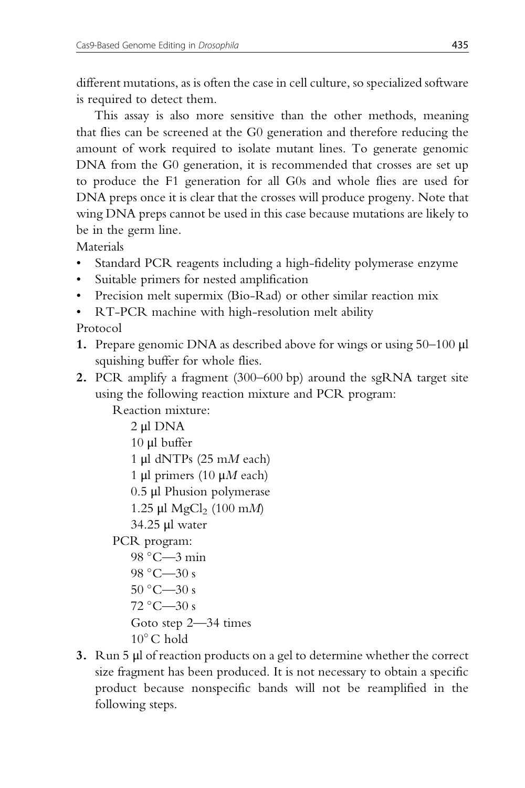different mutations, as is often the case in cell culture, so specialized software is required to detect them.

This assay is also more sensitive than the other methods, meaning that flies can be screened at the G0 generation and therefore reducing the amount of work required to isolate mutant lines. To generate genomic DNA from the G0 generation, it is recommended that crosses are set up to produce the F1 generation for all G0s and whole flies are used for DNA preps once it is clear that the crosses will produce progeny. Note that wing DNA preps cannot be used in this case because mutations are likely to be in the germ line.

Materials

- Standard PCR reagents including a high-fidelity polymerase enzyme
- Suitable primers for nested amplification
- Precision melt supermix (Bio-Rad) or other similar reaction mix
- RT-PCR machine with high-resolution melt ability

Protocol

- 1. Prepare genomic DNA as described above for wings or using 50–100 μl squishing buffer for whole flies.
- 2. PCR amplify a fragment (300–600 bp) around the sgRNA target site using the following reaction mixture and PCR program:

Reaction mixture:

2 μl DNA 10 μl buffer 1 μl dNTPs  $(25 \text{ mM each})$ 1 μl primers (10 μ $M$  each) 0.5 μl Phusion polymerase 1.25 μl  $MgCl<sub>2</sub>$  (100 m*M*) 34.25 μl water PCR program: 98 °C-3 min  $98 °C - 30 s$ 

```
50 °C - 30 s72\degreeC—30 s
Goto step 2—34 times
```

```
10^{\circ}C hold
```
3. Run 5 μl of reaction products on a gel to determine whether the correct size fragment has been produced. It is not necessary to obtain a specific product because nonspecific bands will not be reamplified in the following steps.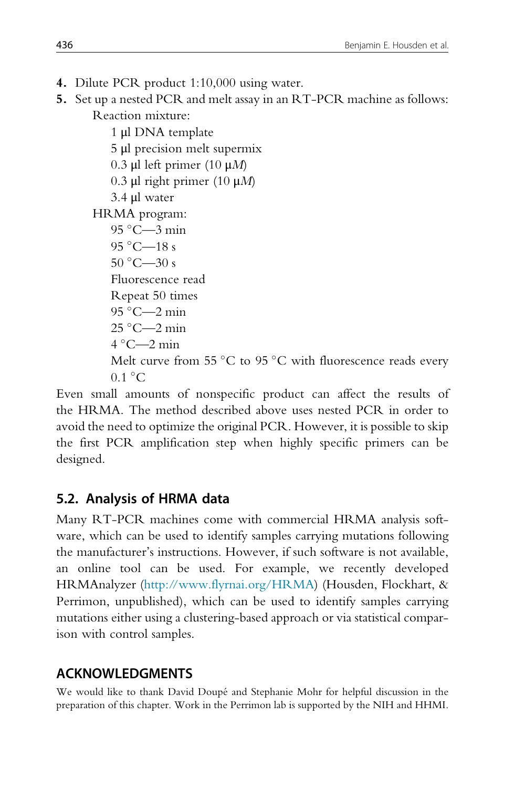- 4. Dilute PCR product 1:10,000 using water.
- 5. Set up a nested PCR and melt assay in an RT-PCR machine as follows: Reaction mixture:
	- 1 μl DNA template 5 μl precision melt supermix 0.3 μl left primer (10 μ*M*) 0.3 μl right primer (10 μ*M*) 3.4 μl water HRMA program: 95 °C—3 min  $95 °C - 18 s$  $50 °C - 30 s$ Fluorescence read Repeat 50 times 95 °C-2 min  $25 °C - 2 min$  $4^{\circ}$ C—2 min Melt curve from 55  $\mathrm{^{\circ}C}$  to 95  $\mathrm{^{\circ}C}$  with fluorescence reads every  $0.1 \degree C$

Even small amounts of nonspecific product can affect the results of the HRMA. The method described above uses nested PCR in order to avoid the need to optimize the original PCR. However, it is possible to skip the first PCR amplification step when highly specific primers can be designed.

## 5.2. Analysis of HRMA data

Many RT-PCR machines come with commercial HRMA analysis software, which can be used to identify samples carrying mutations following the manufacturer's instructions. However, if such software is not available, an online tool can be used. For example, we recently developed HRMAnalyzer [\(http://www.flyrnai.org/HRMA\)](http://www.flyrnai.org/HRMA) (Housden, Flockhart, & Perrimon, unpublished), which can be used to identify samples carrying mutations either using a clustering-based approach or via statistical comparison with control samples.

## ACKNOWLEDGMENTS

We would like to thank David Doupé and Stephanie Mohr for helpful discussion in the preparation of this chapter. Work in the Perrimon lab is supported by the NIH and HHMI.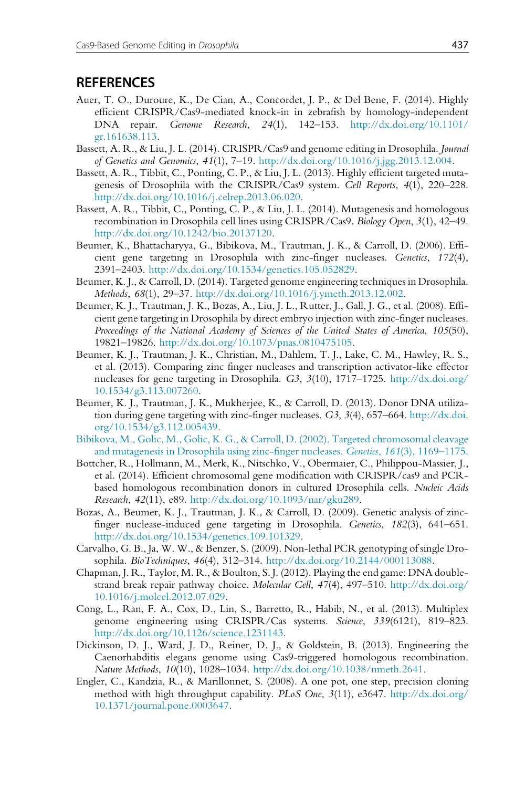#### <span id="page-22-0"></span>**REFERENCES**

- Auer, T. O., Duroure, K., De Cian, A., Concordet, J. P., & Del Bene, F. (2014). Highly efficient CRISPR/Cas9-mediated knock-in in zebrafish by homology-independent DNA repair. Genome Research, 24(1), 142–153. [http://dx.doi.org/10.1101/](http://dx.doi.org/10.1101/gr.161638.113) [gr.161638.113](http://dx.doi.org/10.1101/gr.161638.113).
- Bassett, A. R., & Liu, J. L. (2014). CRISPR/Cas9 and genome editing in Drosophila. Journal of Genetics and Genomics, 41(1), 7–19. [http://dx.doi.org/10.1016/j.jgg.2013.12.004.](http://dx.doi.org/10.1016/j.jgg.2013.12.004)
- Bassett, A. R., Tibbit, C., Ponting, C. P., & Liu, J. L. (2013). Highly efficient targeted mutagenesis of Drosophila with the CRISPR/Cas9 system. Cell Reports, 4(1), 220–228. <http://dx.doi.org/10.1016/j.celrep.2013.06.020>.
- Bassett, A. R., Tibbit, C., Ponting, C. P., & Liu, J. L. (2014). Mutagenesis and homologous recombination in Drosophila cell lines using CRISPR/Cas9. Biology Open, 3(1), 42–49. [http://dx.doi.org/10.1242/bio.20137120.](http://dx.doi.org/10.1242/bio.20137120)
- Beumer, K., Bhattacharyya, G., Bibikova, M., Trautman, J. K., & Carroll, D. (2006). Efficient gene targeting in Drosophila with zinc-finger nucleases. Genetics, 172(4), 2391–2403. [http://dx.doi.org/10.1534/genetics.105.052829.](http://dx.doi.org/10.1534/genetics.105.052829)
- Beumer, K. J., & Carroll, D. (2014). Targeted genome engineering techniques in Drosophila. Methods, 68(1), 29–37. [http://dx.doi.org/10.1016/j.ymeth.2013.12.002.](http://dx.doi.org/10.1016/j.ymeth.2013.12.002)
- Beumer, K. J., Trautman, J. K., Bozas, A., Liu, J. L., Rutter, J., Gall, J. G., et al. (2008). Efficient gene targeting in Drosophila by direct embryo injection with zinc-finger nucleases. Proceedings of the National Academy of Sciences of the United States of America, 105(50), 19821–19826. [http://dx.doi.org/10.1073/pnas.0810475105.](http://dx.doi.org/10.1073/pnas.0810475105)
- Beumer, K. J., Trautman, J. K., Christian, M., Dahlem, T. J., Lake, C. M., Hawley, R. S., et al. (2013). Comparing zinc finger nucleases and transcription activator-like effector nucleases for gene targeting in Drosophila. G3, 3(10), 1717–1725. [http://dx.doi.org/](http://dx.doi.org/10.1534/g3.113.007260) [10.1534/g3.113.007260](http://dx.doi.org/10.1534/g3.113.007260).
- Beumer, K. J., Trautman, J. K., Mukherjee, K., & Carroll, D. (2013). Donor DNA utilization during gene targeting with zinc-finger nucleases. G3, 3(4), 657–664. [http://dx.doi.](http://dx.doi.org/10.1534/g3.112.005439) [org/10.1534/g3.112.005439](http://dx.doi.org/10.1534/g3.112.005439).
- [Bibikova, M., Golic, M., Golic, K. G., & Carroll, D. \(2002\). Targeted chromosomal cleavage](http://refhub.elsevier.com/B978-0-12-801185-0.00019-2/rf0050) [and mutagenesis in Drosophila using zinc-finger nucleases.](http://refhub.elsevier.com/B978-0-12-801185-0.00019-2/rf0050) Genetics, 161(3), 1169–1175.
- Bottcher, R., Hollmann, M., Merk, K., Nitschko, V., Obermaier, C., Philippou-Massier, J., et al. (2014). Efficient chromosomal gene modification with CRISPR/cas9 and PCRbased homologous recombination donors in cultured Drosophila cells. Nucleic Acids Research, 42(11), e89. [http://dx.doi.org/10.1093/nar/gku289.](http://dx.doi.org/10.1093/nar/gku289)
- Bozas, A., Beumer, K. J., Trautman, J. K., & Carroll, D. (2009). Genetic analysis of zincfinger nuclease-induced gene targeting in Drosophila. Genetics, 182(3), 641–651. <http://dx.doi.org/10.1534/genetics.109.101329>.
- Carvalho, G. B., Ja, W. W., & Benzer, S. (2009). Non-lethal PCR genotyping of single Drosophila. BioTechniques, 46(4), 312–314. [http://dx.doi.org/10.2144/000113088.](http://dx.doi.org/10.2144/000113088)
- Chapman, J. R., Taylor, M. R., & Boulton, S. J. (2012). Playing the end game: DNA doublestrand break repair pathway choice. Molecular Cell, 47(4), 497–510. [http://dx.doi.org/](http://dx.doi.org/10.1016/j.molcel.2012.07.029) [10.1016/j.molcel.2012.07.029](http://dx.doi.org/10.1016/j.molcel.2012.07.029).
- Cong, L., Ran, F. A., Cox, D., Lin, S., Barretto, R., Habib, N., et al. (2013). Multiplex genome engineering using CRISPR/Cas systems. Science, 339(6121), 819–823. <http://dx.doi.org/10.1126/science.1231143>.
- Dickinson, D. J., Ward, J. D., Reiner, D. J., & Goldstein, B. (2013). Engineering the Caenorhabditis elegans genome using Cas9-triggered homologous recombination. Nature Methods, 10(10), 1028–1034. <http://dx.doi.org/10.1038/nmeth.2641>.
- Engler, C., Kandzia, R., & Marillonnet, S. (2008). A one pot, one step, precision cloning method with high throughput capability. PLoS One, 3(11), e3647. [http://dx.doi.org/](http://dx.doi.org/10.1371/journal.pone.0003647) [10.1371/journal.pone.0003647.](http://dx.doi.org/10.1371/journal.pone.0003647)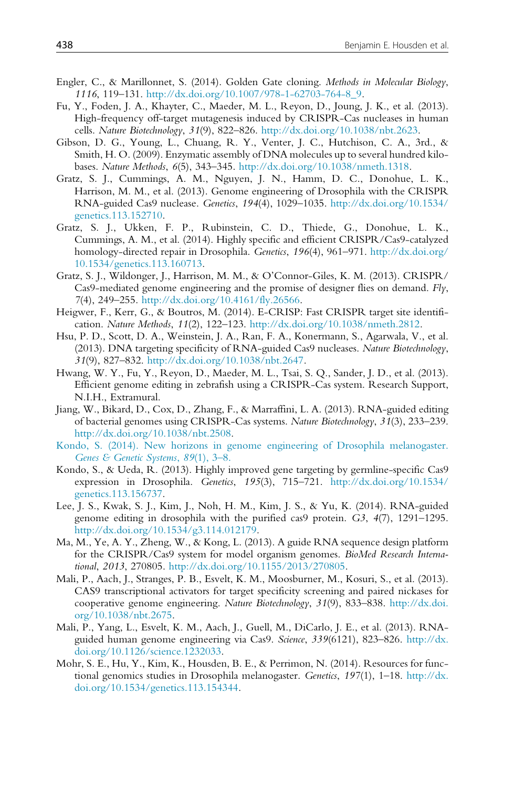- <span id="page-23-0"></span>Engler, C., & Marillonnet, S. (2014). Golden Gate cloning. Methods in Molecular Biology, 1116, 119–131. [http://dx.doi.org/10.1007/978-1-62703-764-8\\_9.](http://dx.doi.org/10.1007/978-1-62703-764-8_9)
- Fu, Y., Foden, J. A., Khayter, C., Maeder, M. L., Reyon, D., Joung, J. K., et al. (2013). High-frequency off-target mutagenesis induced by CRISPR-Cas nucleases in human cells. Nature Biotechnology, 31(9), 822–826. [http://dx.doi.org/10.1038/nbt.2623.](http://dx.doi.org/10.1038/nbt.2623)
- Gibson, D. G., Young, L., Chuang, R. Y., Venter, J. C., Hutchison, C. A., 3rd., & Smith, H. O. (2009). Enzymatic assembly of DNA molecules up to several hundred kilobases. Nature Methods, 6(5), 343–345. [http://dx.doi.org/10.1038/nmeth.1318.](http://dx.doi.org/10.1038/nmeth.1318)
- Gratz, S. J., Cummings, A. M., Nguyen, J. N., Hamm, D. C., Donohue, L. K., Harrison, M. M., et al. (2013). Genome engineering of Drosophila with the CRISPR RNA-guided Cas9 nuclease. Genetics, 194(4), 1029–1035. [http://dx.doi.org/10.1534/](http://dx.doi.org/10.1534/genetics.113.152710) [genetics.113.152710.](http://dx.doi.org/10.1534/genetics.113.152710)
- Gratz, S. J., Ukken, F. P., Rubinstein, C. D., Thiede, G., Donohue, L. K., Cummings, A. M., et al. (2014). Highly specific and efficient CRISPR/Cas9-catalyzed homology-directed repair in Drosophila. Genetics, 196(4), 961–971. [http://dx.doi.org/](http://dx.doi.org/10.1534/genetics.113.160713) [10.1534/genetics.113.160713](http://dx.doi.org/10.1534/genetics.113.160713).
- Gratz, S. J., Wildonger, J., Harrison, M. M., & O'Connor-Giles, K. M. (2013). CRISPR/ Cas9-mediated genome engineering and the promise of designer flies on demand.  $Fly$ , 7(4), 249–255. [http://dx.doi.org/10.4161/fly.26566.](http://dx.doi.org/10.4161/fly.26566)
- Heigwer, F., Kerr, G., & Boutros, M. (2014). E-CRISP: Fast CRISPR target site identification. Nature Methods, 11(2), 122–123. [http://dx.doi.org/10.1038/nmeth.2812.](http://dx.doi.org/10.1038/nmeth.2812)
- Hsu, P. D., Scott, D. A., Weinstein, J. A., Ran, F. A., Konermann, S., Agarwala, V., et al. (2013). DNA targeting specificity of RNA-guided Cas9 nucleases. Nature Biotechnology, 31(9), 827–832. [http://dx.doi.org/10.1038/nbt.2647.](http://dx.doi.org/10.1038/nbt.2647)
- Hwang, W. Y., Fu, Y., Reyon, D., Maeder, M. L., Tsai, S. Q., Sander, J. D., et al. (2013). Efficient genome editing in zebrafish using a CRISPR-Cas system. Research Support, N.I.H., Extramural.
- Jiang, W., Bikard, D., Cox, D., Zhang, F., & Marraffini, L. A. (2013). RNA-guided editing of bacterial genomes using CRISPR-Cas systems. Nature Biotechnology, 31(3), 233–239. <http://dx.doi.org/10.1038/nbt.2508>.
- [Kondo, S. \(2014\). New horizons in genome engineering of Drosophila melanogaster.](http://refhub.elsevier.com/B978-0-12-801185-0.00019-2/rf0135) [Genes & Genetic Systems](http://refhub.elsevier.com/B978-0-12-801185-0.00019-2/rf0135), 89(1), 3–8.
- Kondo, S., & Ueda, R. (2013). Highly improved gene targeting by germline-specific Cas9 expression in Drosophila. Genetics, 195(3), 715–721. [http://dx.doi.org/10.1534/](http://dx.doi.org/10.1534/genetics.113.156737) [genetics.113.156737.](http://dx.doi.org/10.1534/genetics.113.156737)
- Lee, J. S., Kwak, S. J., Kim, J., Noh, H. M., Kim, J. S., & Yu, K. (2014). RNA-guided genome editing in drosophila with the purified cas9 protein. G3, 4(7), 1291–1295. <http://dx.doi.org/10.1534/g3.114.012179>.
- Ma, M., Ye, A. Y., Zheng, W., & Kong, L. (2013). A guide RNA sequence design platform for the CRISPR/Cas9 system for model organism genomes. BioMed Research International, 2013, 270805. <http://dx.doi.org/10.1155/2013/270805>.
- Mali, P., Aach, J., Stranges, P. B., Esvelt, K. M., Moosburner, M., Kosuri, S., et al. (2013). CAS9 transcriptional activators for target specificity screening and paired nickases for cooperative genome engineering. Nature Biotechnology, 31(9), 833–838. [http://dx.doi.](http://dx.doi.org/10.1038/nbt.2675) [org/10.1038/nbt.2675.](http://dx.doi.org/10.1038/nbt.2675)
- Mali, P., Yang, L., Esvelt, K. M., Aach, J., Guell, M., DiCarlo, J. E., et al. (2013). RNAguided human genome engineering via Cas9. Science, 339(6121), 823-826. [http://dx.](http://dx.doi.org/10.1126/science.1232033) [doi.org/10.1126/science.1232033](http://dx.doi.org/10.1126/science.1232033).
- Mohr, S. E., Hu, Y., Kim, K., Housden, B. E., & Perrimon, N. (2014). Resources for functional genomics studies in Drosophila melanogaster. Genetics, 197(1), 1–18. [http://dx.](http://dx.doi.org/10.1534/genetics.113.154344) [doi.org/10.1534/genetics.113.154344](http://dx.doi.org/10.1534/genetics.113.154344).